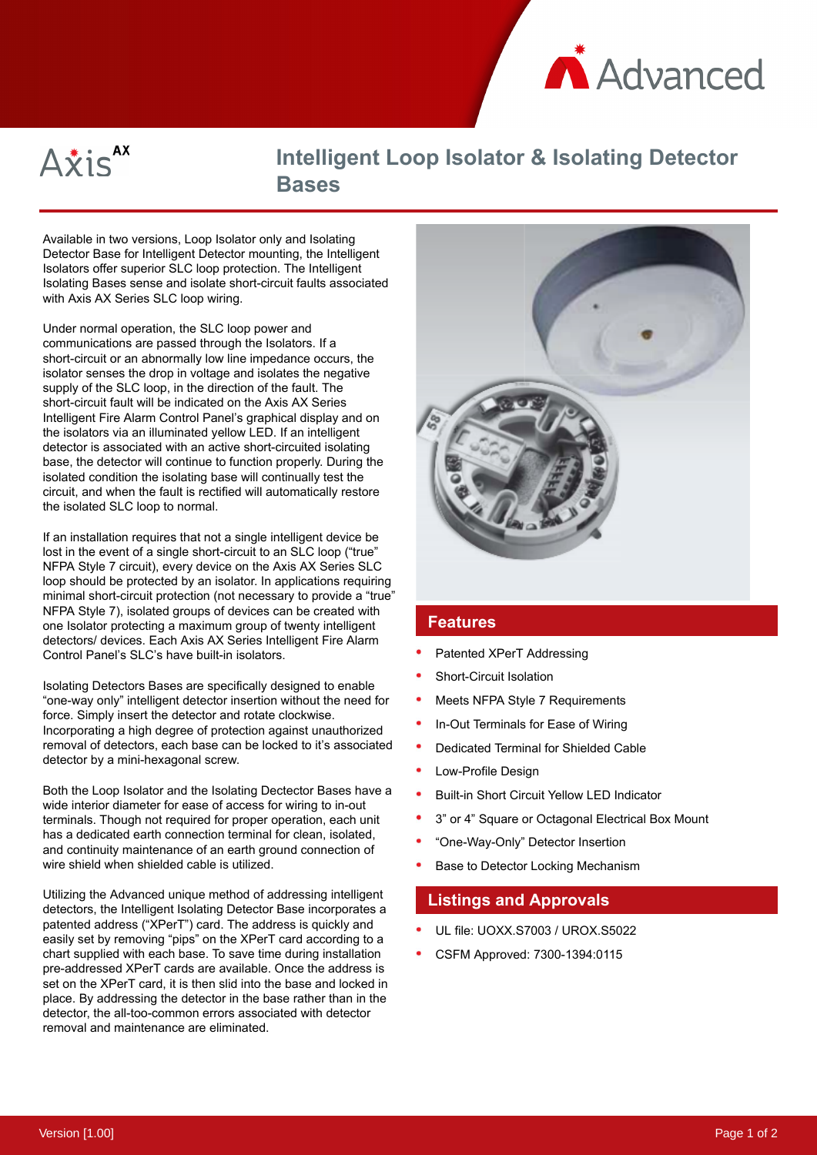



# **Intelligent Loop Isolator & Isolating Detector Bases**

Available in two versions, Loop Isolator only and Isolating Detector Base for Intelligent Detector mounting, the Intelligent Isolators offer superior SLC loop protection. The Intelligent Isolating Bases sense and isolate short-circuit faults associated with Axis AX Series SLC loop wiring.

Under normal operation, the SLC loop power and communications are passed through the Isolators. If a short-circuit or an abnormally low line impedance occurs, the isolator senses the drop in voltage and isolates the negative supply of the SLC loop, in the direction of the fault. The short-circuit fault will be indicated on the Axis AX Series Intelligent Fire Alarm Control Panel's graphical display and on the isolators via an illuminated yellow LED. If an intelligent detector is associated with an active short-circuited isolating base, the detector will continue to function properly. During the isolated condition the isolating base will continually test the circuit, and when the fault is rectified will automatically restore the isolated SLC loop to normal.

If an installation requires that not a single intelligent device be lost in the event of a single short-circuit to an SLC loop ("true" NFPA Style 7 circuit), every device on the Axis AX Series SLC loop should be protected by an isolator. In applications requiring minimal short-circuit protection (not necessary to provide a "true" NFPA Style 7), isolated groups of devices can be created with one Isolator protecting a maximum group of twenty intelligent detectors/ devices. Each Axis AX Series Intelligent Fire Alarm Control Panel's SLC's have built-in isolators.

Isolating Detectors Bases are specifically designed to enable "one-way only" intelligent detector insertion without the need for force. Simply insert the detector and rotate clockwise. Incorporating a high degree of protection against unauthorized removal of detectors, each base can be locked to it's associated detector by a mini-hexagonal screw.

Both the Loop Isolator and the Isolating Dectector Bases have a wide interior diameter for ease of access for wiring to in-out terminals. Though not required for proper operation, each unit has a dedicated earth connection terminal for clean, isolated, and continuity maintenance of an earth ground connection of wire shield when shielded cable is utilized.

Utilizing the Advanced unique method of addressing intelligent detectors, the Intelligent Isolating Detector Base incorporates a patented address ("XPerT") card. The address is quickly and easily set by removing "pips" on the XPerT card according to a chart supplied with each base. To save time during installation pre-addressed XPerT cards are available. Once the address is set on the XPerT card, it is then slid into the base and locked in place. By addressing the detector in the base rather than in the detector, the all-too-common errors associated with detector removal and maintenance are eliminated.



#### **Features**

- Patented XPerT Addressing
- Short-Circuit Isolation
- Meets NFPA Style 7 Requirements
- In-Out Terminals for Ease of Wiring
- Dedicated Terminal for Shielded Cable
- Low-Profile Design
- Built-in Short Circuit Yellow LED Indicator
- 3" or 4" Square or Octagonal Electrical Box Mount
- "One-Way-Only" Detector Insertion
- Base to Detector Locking Mechanism

### **Listings and Approvals**

- UL file: UOXX.S7003 / UROX.S5022
- CSFM Approved: 7300-1394:0115